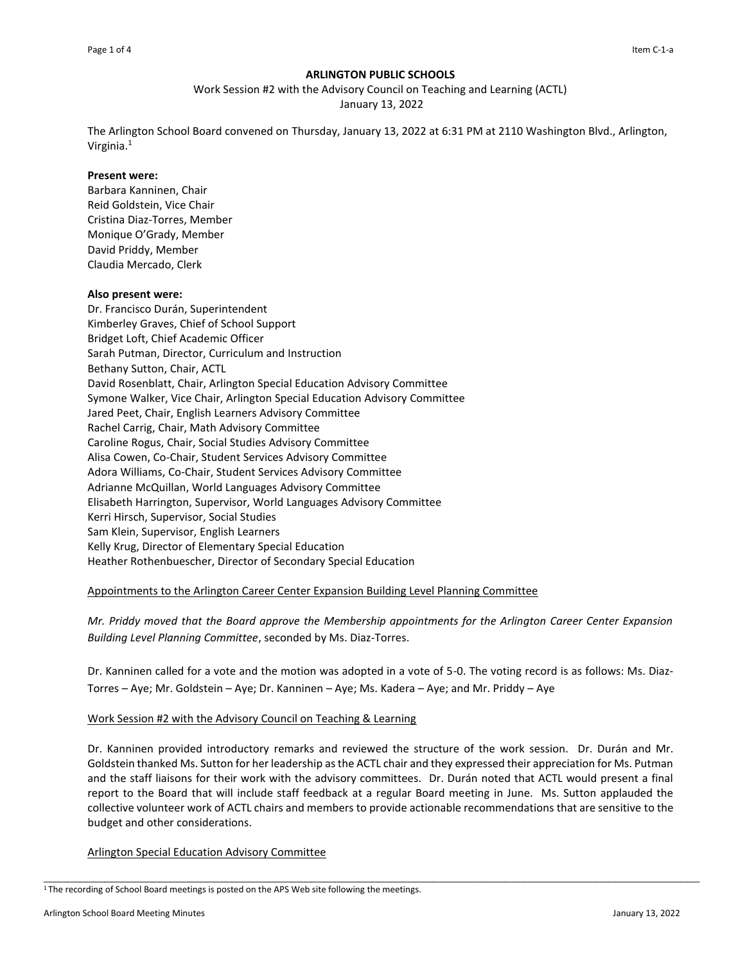## **ARLINGTON PUBLIC SCHOOLS**

Work Session #2 with the Advisory Council on Teaching and Learning (ACTL) January 13, 2022

The Arlington School Board convened on Thursday, January 13, 2022 at 6:31 PM at 2110 Washington Blvd., Arlington, Virginia.<sup>1</sup>

## **Present were:**

Barbara Kanninen, Chair Reid Goldstein, Vice Chair Cristina Diaz-Torres, Member Monique O'Grady, Member David Priddy, Member Claudia Mercado, Clerk

## **Also present were:**

Dr. Francisco Durán, Superintendent Kimberley Graves, Chief of School Support Bridget Loft, Chief Academic Officer Sarah Putman, Director, Curriculum and Instruction Bethany Sutton, Chair, ACTL David Rosenblatt, Chair, Arlington Special Education Advisory Committee Symone Walker, Vice Chair, Arlington Special Education Advisory Committee Jared Peet, Chair, English Learners Advisory Committee Rachel Carrig, Chair, Math Advisory Committee Caroline Rogus, Chair, Social Studies Advisory Committee Alisa Cowen, Co-Chair, Student Services Advisory Committee Adora Williams, Co-Chair, Student Services Advisory Committee Adrianne McQuillan, World Languages Advisory Committee Elisabeth Harrington, Supervisor, World Languages Advisory Committee Kerri Hirsch, Supervisor, Social Studies Sam Klein, Supervisor, English Learners Kelly Krug, Director of Elementary Special Education Heather Rothenbuescher, Director of Secondary Special Education

# Appointments to the Arlington Career Center Expansion Building Level Planning Committee

*Mr. Priddy moved that the Board approve the Membership appointments for the Arlington Career Center Expansion Building Level Planning Committee*, seconded by Ms. Diaz-Torres.

Dr. Kanninen called for a vote and the motion was adopted in a vote of 5-0. The voting record is as follows: Ms. Diaz-Torres – Aye; Mr. Goldstein – Aye; Dr. Kanninen – Aye; Ms. Kadera – Aye; and Mr. Priddy – Aye

## Work Session #2 with the Advisory Council on Teaching & Learning

Dr. Kanninen provided introductory remarks and reviewed the structure of the work session. Dr. Durán and Mr. Goldstein thanked Ms. Sutton for her leadership as the ACTL chair and they expressed their appreciation for Ms. Putman and the staff liaisons for their work with the advisory committees. Dr. Durán noted that ACTL would present a final report to the Board that will include staff feedback at a regular Board meeting in June. Ms. Sutton applauded the collective volunteer work of ACTL chairs and members to provide actionable recommendations that are sensitive to the budget and other considerations.

\_\_\_\_\_\_\_\_\_\_\_\_\_\_\_\_\_\_\_\_\_\_\_\_\_\_\_\_\_\_\_\_\_\_\_\_\_\_\_\_\_\_\_\_\_\_\_\_\_\_\_\_\_\_\_\_\_\_\_\_\_\_\_\_\_\_\_\_\_\_\_\_\_\_\_\_\_\_\_\_\_\_\_\_\_\_\_\_\_\_\_\_\_\_\_\_\_\_\_\_\_\_\_\_\_\_\_\_

## Arlington Special Education Advisory Committee

<sup>&</sup>lt;sup>1</sup>The recording of School Board meetings is posted on the APS Web site following the meetings.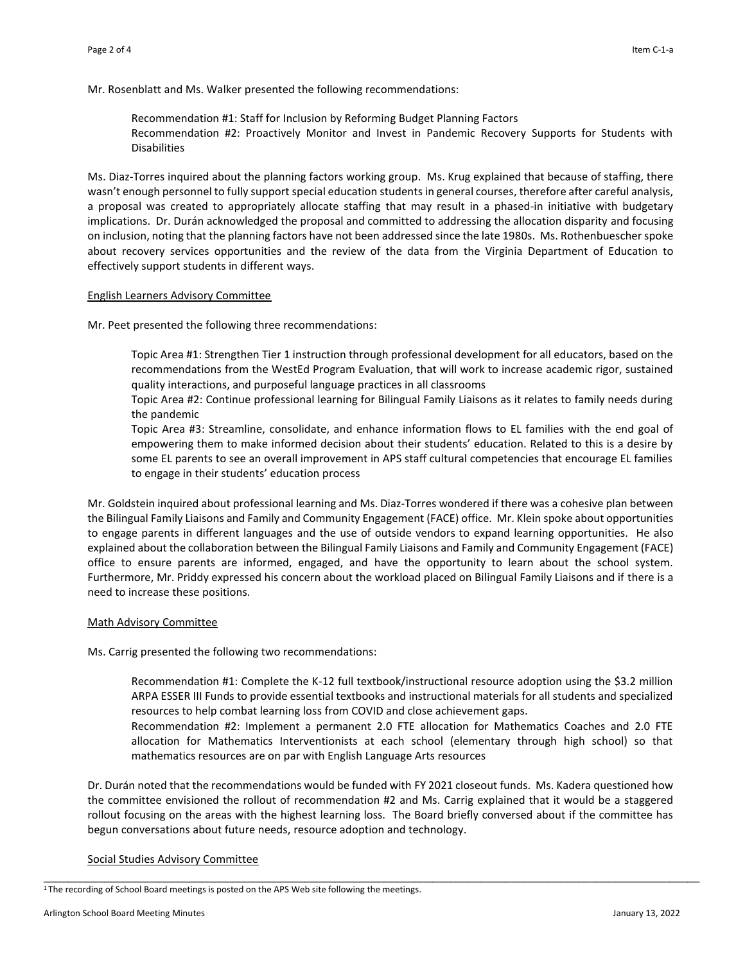Mr. Rosenblatt and Ms. Walker presented the following recommendations:

Recommendation #1: Staff for Inclusion by Reforming Budget Planning Factors Recommendation #2: Proactively Monitor and Invest in Pandemic Recovery Supports for Students with Disabilities

Ms. Diaz-Torres inquired about the planning factors working group. Ms. Krug explained that because of staffing, there wasn't enough personnel to fully support special education students in general courses, therefore after careful analysis, a proposal was created to appropriately allocate staffing that may result in a phased-in initiative with budgetary implications. Dr. Durán acknowledged the proposal and committed to addressing the allocation disparity and focusing on inclusion, noting that the planning factors have not been addressed since the late 1980s. Ms. Rothenbuescher spoke about recovery services opportunities and the review of the data from the Virginia Department of Education to effectively support students in different ways.

## English Learners Advisory Committee

Mr. Peet presented the following three recommendations:

Topic Area #1: Strengthen Tier 1 instruction through professional development for all educators, based on the recommendations from the WestEd Program Evaluation, that will work to increase academic rigor, sustained quality interactions, and purposeful language practices in all classrooms

Topic Area #2: Continue professional learning for Bilingual Family Liaisons as it relates to family needs during the pandemic

Topic Area #3: Streamline, consolidate, and enhance information flows to EL families with the end goal of empowering them to make informed decision about their students' education. Related to this is a desire by some EL parents to see an overall improvement in APS staff cultural competencies that encourage EL families to engage in their students' education process

Mr. Goldstein inquired about professional learning and Ms. Diaz-Torres wondered if there was a cohesive plan between the Bilingual Family Liaisons and Family and Community Engagement (FACE) office. Mr. Klein spoke about opportunities to engage parents in different languages and the use of outside vendors to expand learning opportunities. He also explained about the collaboration between the Bilingual Family Liaisons and Family and Community Engagement (FACE) office to ensure parents are informed, engaged, and have the opportunity to learn about the school system. Furthermore, Mr. Priddy expressed his concern about the workload placed on Bilingual Family Liaisons and if there is a need to increase these positions.

## Math Advisory Committee

Ms. Carrig presented the following two recommendations:

Recommendation #1: Complete the K-12 full textbook/instructional resource adoption using the \$3.2 million ARPA ESSER III Funds to provide essential textbooks and instructional materials for all students and specialized resources to help combat learning loss from COVID and close achievement gaps.

Recommendation #2: Implement a permanent 2.0 FTE allocation for Mathematics Coaches and 2.0 FTE allocation for Mathematics Interventionists at each school (elementary through high school) so that mathematics resources are on par with English Language Arts resources

Dr. Durán noted that the recommendations would be funded with FY 2021 closeout funds. Ms. Kadera questioned how the committee envisioned the rollout of recommendation #2 and Ms. Carrig explained that it would be a staggered rollout focusing on the areas with the highest learning loss. The Board briefly conversed about if the committee has begun conversations about future needs, resource adoption and technology.

\_\_\_\_\_\_\_\_\_\_\_\_\_\_\_\_\_\_\_\_\_\_\_\_\_\_\_\_\_\_\_\_\_\_\_\_\_\_\_\_\_\_\_\_\_\_\_\_\_\_\_\_\_\_\_\_\_\_\_\_\_\_\_\_\_\_\_\_\_\_\_\_\_\_\_\_\_\_\_\_\_\_\_\_\_\_\_\_\_\_\_\_\_\_\_\_\_\_\_\_\_\_\_\_\_\_\_\_

# Social Studies Advisory Committee

<sup>&</sup>lt;sup>1</sup>The recording of School Board meetings is posted on the APS Web site following the meetings.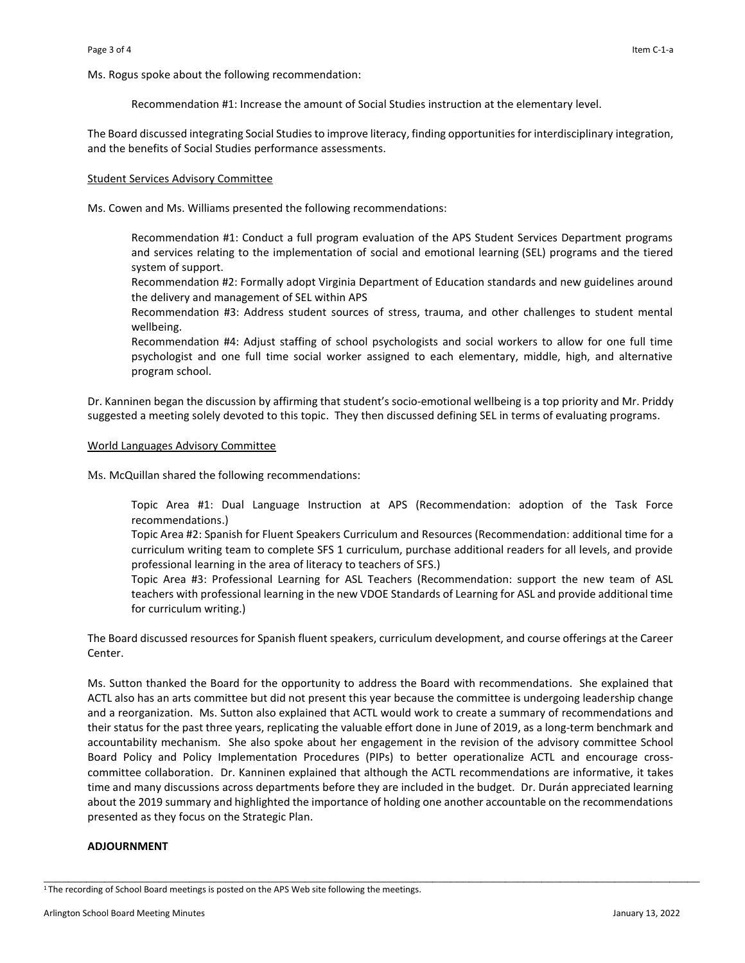Ms. Rogus spoke about the following recommendation:

Recommendation #1: Increase the amount of Social Studies instruction at the elementary level.

The Board discussed integrating Social Studies to improve literacy, finding opportunities for interdisciplinary integration, and the benefits of Social Studies performance assessments.

#### Student Services Advisory Committee

Ms. Cowen and Ms. Williams presented the following recommendations:

Recommendation #1: Conduct a full program evaluation of the APS Student Services Department programs and services relating to the implementation of social and emotional learning (SEL) programs and the tiered system of support.

Recommendation #2: Formally adopt Virginia Department of Education standards and new guidelines around the delivery and management of SEL within APS

Recommendation #3: Address student sources of stress, trauma, and other challenges to student mental wellbeing.

Recommendation #4: Adjust staffing of school psychologists and social workers to allow for one full time psychologist and one full time social worker assigned to each elementary, middle, high, and alternative program school.

Dr. Kanninen began the discussion by affirming that student's socio-emotional wellbeing is a top priority and Mr. Priddy suggested a meeting solely devoted to this topic. They then discussed defining SEL in terms of evaluating programs.

#### World Languages Advisory Committee

Ms. McQuillan shared the following recommendations:

Topic Area #1: Dual Language Instruction at APS (Recommendation: adoption of the Task Force recommendations.)

Topic Area #2: Spanish for Fluent Speakers Curriculum and Resources (Recommendation: additional time for a curriculum writing team to complete SFS 1 curriculum, purchase additional readers for all levels, and provide professional learning in the area of literacy to teachers of SFS.)

Topic Area #3: Professional Learning for ASL Teachers (Recommendation: support the new team of ASL teachers with professional learning in the new VDOE Standards of Learning for ASL and provide additional time for curriculum writing.)

The Board discussed resources for Spanish fluent speakers, curriculum development, and course offerings at the Career Center.

Ms. Sutton thanked the Board for the opportunity to address the Board with recommendations. She explained that ACTL also has an arts committee but did not present this year because the committee is undergoing leadership change and a reorganization. Ms. Sutton also explained that ACTL would work to create a summary of recommendations and their status for the past three years, replicating the valuable effort done in June of 2019, as a long-term benchmark and accountability mechanism. She also spoke about her engagement in the revision of the advisory committee School Board Policy and Policy Implementation Procedures (PIPs) to better operationalize ACTL and encourage crosscommittee collaboration. Dr. Kanninen explained that although the ACTL recommendations are informative, it takes time and many discussions across departments before they are included in the budget. Dr. Durán appreciated learning about the 2019 summary and highlighted the importance of holding one another accountable on the recommendations presented as they focus on the Strategic Plan.

\_\_\_\_\_\_\_\_\_\_\_\_\_\_\_\_\_\_\_\_\_\_\_\_\_\_\_\_\_\_\_\_\_\_\_\_\_\_\_\_\_\_\_\_\_\_\_\_\_\_\_\_\_\_\_\_\_\_\_\_\_\_\_\_\_\_\_\_\_\_\_\_\_\_\_\_\_\_\_\_\_\_\_\_\_\_\_\_\_\_\_\_\_\_\_\_\_\_\_\_\_\_\_\_\_\_\_\_

#### **ADJOURNMENT**

<sup>&</sup>lt;sup>1</sup>The recording of School Board meetings is posted on the APS Web site following the meetings.